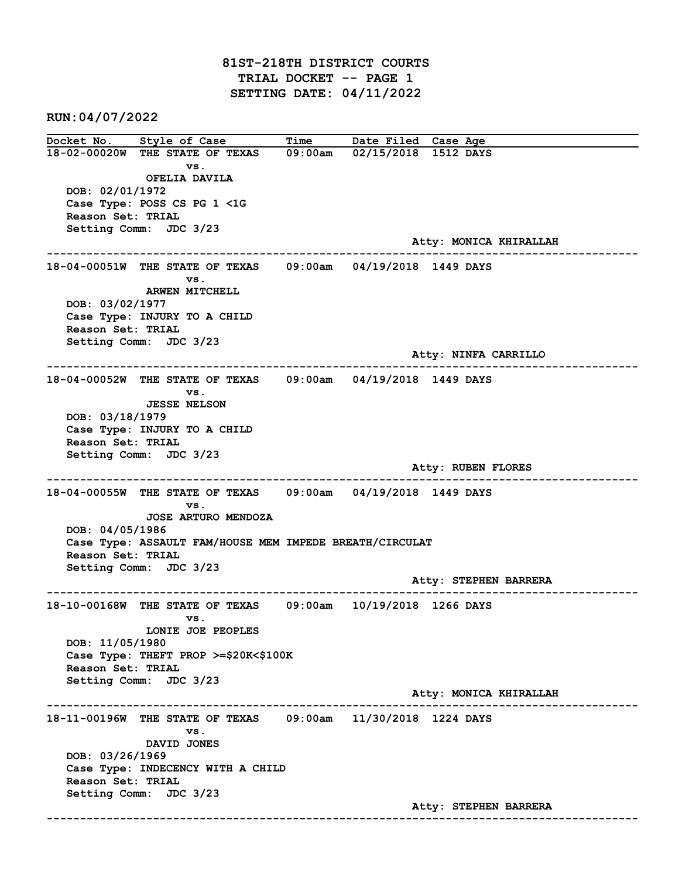81ST-218TH DISTRICT COURTS TRIAL DOCKET -- PAGE 1 SETTING DATE: 04/11/2022

RUN:04/07/2022

Docket No. Style of Case Time Date Filed Case Age 18-02-00020W THE STATE OF TEXAS 09:00am 02/15/2018 1512 DAYS vs. OFELIA DAVILA DOB: 02/01/1972 Case Type: POSS CS PG 1 <1G Reason Set: TRIAL Setting Comm: JDC 3/23 Atty: MONICA KHIRALLAH ------------------------------------------------------------------------------------------------------------------------ 18-04-00051W THE STATE OF TEXAS 09:00am 04/19/2018 1449 DAYS vs. ARWEN MITCHELL DOB: 03/02/1977 Case Type: INJURY TO A CHILD Reason Set: TRIAL Setting Comm: JDC 3/23 Atty: NINFA CARRILLO ------------------------------------------------------------------------------------------------------------------------ 18-04-00052W THE STATE OF TEXAS 09:00am 04/19/2018 1449 DAYS vs. JESSE NELSON DOB: 03/18/1979 Case Type: INJURY TO A CHILD Reason Set: TRIAL Setting Comm: JDC 3/23 Atty: RUBEN FLORES ------------------------------------------------------------------------------------------------------------------------ 18-04-00055W THE STATE OF TEXAS 09:00am 04/19/2018 1449 DAYS vs. JOSE ARTURO MENDOZA DOB: 04/05/1986 Case Type: ASSAULT FAM/HOUSE MEM IMPEDE BREATH/CIRCULAT Reason Set: TRIAL Setting Comm: JDC 3/23 Atty: STEPHEN BARRERA ------------------------------------------------------------------------------------------------------------------------ 18-10-00168W THE STATE OF TEXAS 09:00am 10/19/2018 1266 DAYS vs. LONIE JOE PEOPLES DOB: 11/05/1980 Case Type: THEFT PROP >=\$20K<\$100K Reason Set: TRIAL Setting Comm: JDC 3/23 Atty: MONICA KHIRALLAH ------------------------------------------------------------------------------------------------------------------------ 18-11-00196W THE STATE OF TEXAS 09:00am 11/30/2018 1224 DAYS vs. DAVID JONES DOB: 03/26/1969 Case Type: INDECENCY WITH A CHILD Reason Set: TRIAL Setting Comm: JDC 3/23 Atty: STEPHEN BARRERA ------------------------------------------------------------------------------------------------------------------------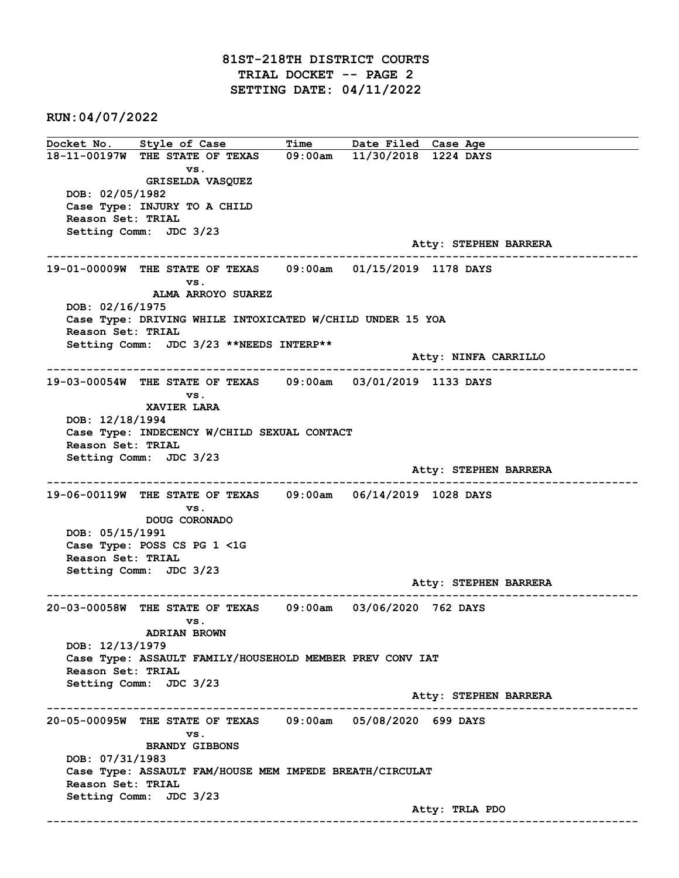## 81ST-218TH DISTRICT COURTS TRIAL DOCKET -- PAGE 2 SETTING DATE: 04/11/2022

RUN:04/07/2022

Docket No. Style of Case Time Date Filed Case Age 18-11-00197W THE STATE OF TEXAS 09:00am 11/30/2018 1224 DAYS vs. GRISELDA VASQUEZ DOB: 02/05/1982 Case Type: INJURY TO A CHILD Reason Set: TRIAL Setting Comm: JDC 3/23 Atty: STEPHEN BARRERA ------------------------------------------------------------------------------------------------------------------------ 19-01-00009W THE STATE OF TEXAS 09:00am 01/15/2019 1178 DAYS vs. ALMA ARROYO SUAREZ DOB: 02/16/1975 Case Type: DRIVING WHILE INTOXICATED W/CHILD UNDER 15 YOA Reason Set: TRIAL Setting Comm: JDC 3/23 \*\*NEEDS INTERP\*\* Atty: NINFA CARRILLO ------------------------------------------------------------------------------------------------------------------------ 19-03-00054W THE STATE OF TEXAS 09:00am 03/01/2019 1133 DAYS vs. XAVIER LARA DOB: 12/18/1994 Case Type: INDECENCY W/CHILD SEXUAL CONTACT Reason Set: TRIAL Setting Comm: JDC 3/23 Atty: STEPHEN BARRERA ------------------------------------------------------------------------------------------------------------------------ 19-06-00119W THE STATE OF TEXAS 09:00am 06/14/2019 1028 DAYS vs. DOUG CORONADO DOB: 05/15/1991 Case Type: POSS CS PG 1 <1G Reason Set: TRIAL Setting Comm: JDC 3/23 Atty: STEPHEN BARRERA ------------------------------------------------------------------------------------------------------------------------ 20-03-00058W THE STATE OF TEXAS 09:00am 03/06/2020 762 DAYS vs. ADRIAN BROWN DOB: 12/13/1979 Case Type: ASSAULT FAMILY/HOUSEHOLD MEMBER PREV CONV IAT Reason Set: TRIAL Setting Comm: JDC 3/23 Atty: STEPHEN BARRERA ------------------------------------------------------------------------------------------------------------------------ 20-05-00095W THE STATE OF TEXAS 09:00am 05/08/2020 699 DAYS vs. BRANDY GIBBONS DOB: 07/31/1983 Case Type: ASSAULT FAM/HOUSE MEM IMPEDE BREATH/CIRCULAT Reason Set: TRIAL Setting Comm: JDC 3/23 Atty: TRLA PDO ------------------------------------------------------------------------------------------------------------------------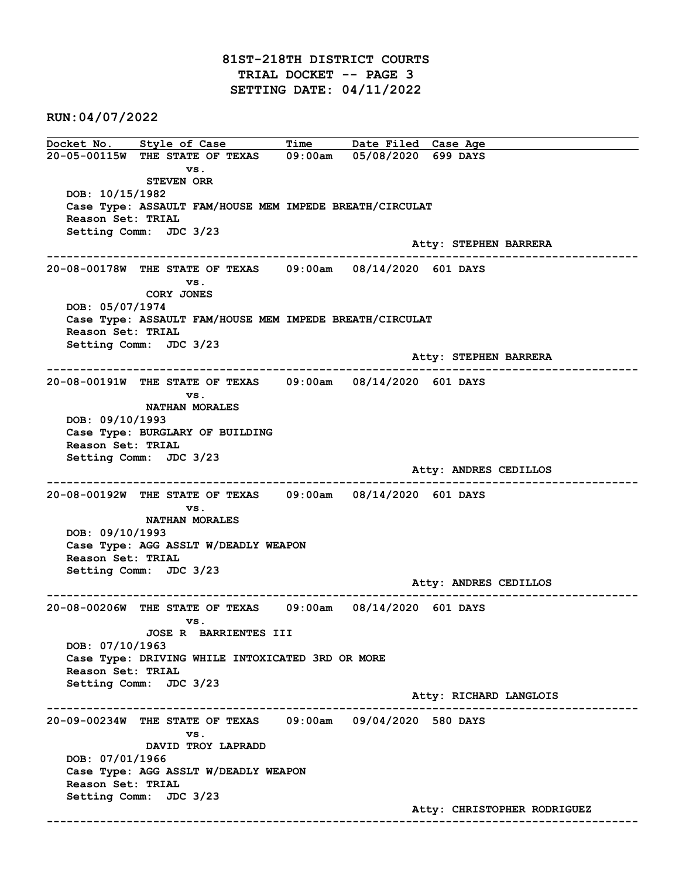RUN:04/07/2022

Docket No. Style of Case Time Date Filed Case Age 20-05-00115W THE STATE OF TEXAS 09:00am 05/08/2020 699 DAYS vs. STEVEN ORR DOB: 10/15/1982 Case Type: ASSAULT FAM/HOUSE MEM IMPEDE BREATH/CIRCULAT Reason Set: TRIAL Setting Comm: JDC 3/23 Atty: STEPHEN BARRERA ------------------------------------------------------------------------------------------------------------------------ 20-08-00178W THE STATE OF TEXAS 09:00am 08/14/2020 601 DAYS vs. CORY JONES DOB: 05/07/1974 Case Type: ASSAULT FAM/HOUSE MEM IMPEDE BREATH/CIRCULAT Reason Set: TRIAL Setting Comm: JDC 3/23 Atty: STEPHEN BARRERA ------------------------------------------------------------------------------------------------------------------------ 20-08-00191W THE STATE OF TEXAS 09:00am 08/14/2020 601 DAYS vs. NATHAN MORALES DOB: 09/10/1993 Case Type: BURGLARY OF BUILDING Reason Set: TRIAL Setting Comm: JDC 3/23 Atty: ANDRES CEDILLOS ------------------------------------------------------------------------------------------------------------------------ 20-08-00192W THE STATE OF TEXAS 09:00am 08/14/2020 601 DAYS vs. NATHAN MORALES DOB: 09/10/1993 Case Type: AGG ASSLT W/DEADLY WEAPON Reason Set: TRIAL Setting Comm: JDC 3/23 Atty: ANDRES CEDILLOS ------------------------------------------------------------------------------------------------------------------------ 20-08-00206W THE STATE OF TEXAS 09:00am 08/14/2020 601 DAYS vs. JOSE R BARRIENTES III DOB: 07/10/1963 Case Type: DRIVING WHILE INTOXICATED 3RD OR MORE Reason Set: TRIAL Setting Comm: JDC 3/23 Atty: RICHARD LANGLOIS ------------------------------------------------------------------------------------------------------------------------ 20-09-00234W THE STATE OF TEXAS 09:00am 09/04/2020 580 DAYS vs. DAVID TROY LAPRADD DOB: 07/01/1966 Case Type: AGG ASSLT W/DEADLY WEAPON Reason Set: TRIAL Setting Comm: JDC 3/23 Atty: CHRISTOPHER RODRIGUEZ ------------------------------------------------------------------------------------------------------------------------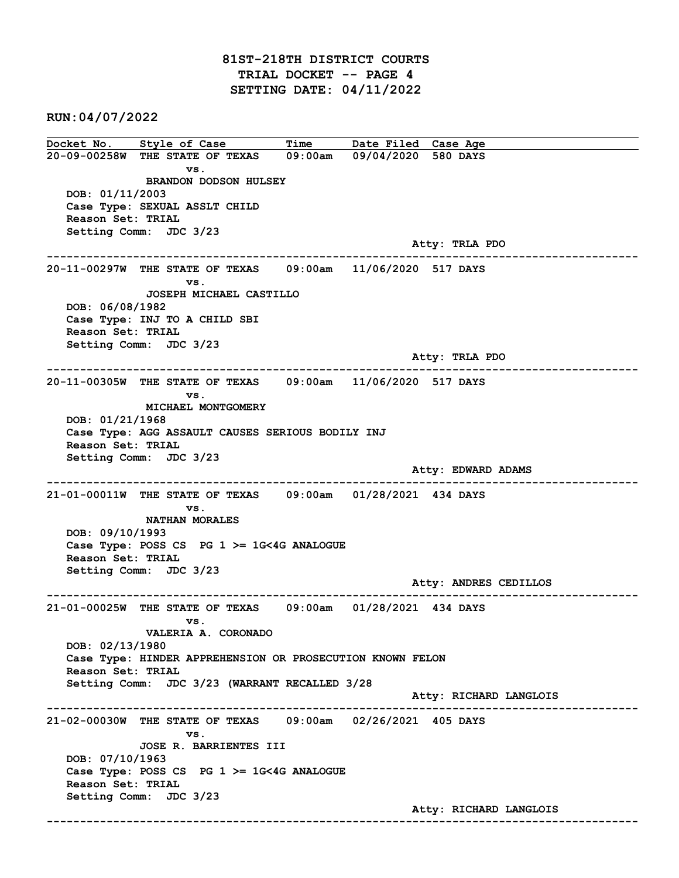## 81ST-218TH DISTRICT COURTS TRIAL DOCKET -- PAGE 4 SETTING DATE: 04/11/2022

RUN:04/07/2022

Docket No. Style of Case Time Date Filed Case Age 20-09-00258W THE STATE OF TEXAS 09:00am 09/04/2020 580 DAYS vs. BRANDON DODSON HULSEY DOB: 01/11/2003 Case Type: SEXUAL ASSLT CHILD Reason Set: TRIAL Setting Comm: JDC 3/23 Atty: TRLA PDO ------------------------------------------------------------------------------------------------------------------------ 20-11-00297W THE STATE OF TEXAS 09:00am 11/06/2020 517 DAYS vs. JOSEPH MICHAEL CASTILLO DOB: 06/08/1982 Case Type: INJ TO A CHILD SBI Reason Set: TRIAL Setting Comm: JDC 3/23 Atty: TRLA PDO ------------------------------------------------------------------------------------------------------------------------ 20-11-00305W THE STATE OF TEXAS 09:00am 11/06/2020 517 DAYS vs. MICHAEL MONTGOMERY DOB: 01/21/1968 Case Type: AGG ASSAULT CAUSES SERIOUS BODILY INJ Reason Set: TRIAL Setting Comm: JDC 3/23 Atty: EDWARD ADAMS ------------------------------------------------------------------------------------------------------------------------ 21-01-00011W THE STATE OF TEXAS 09:00am 01/28/2021 434 DAYS vs. NATHAN MORALES DOB: 09/10/1993 Case Type: POSS CS PG 1 >= 1G<4G ANALOGUE Reason Set: TRIAL Setting Comm: JDC 3/23 Atty: ANDRES CEDILLOS ------------------------------------------------------------------------------------------------------------------------ 21-01-00025W THE STATE OF TEXAS 09:00am 01/28/2021 434 DAYS vs. VALERIA A. CORONADO DOB: 02/13/1980 Case Type: HINDER APPREHENSION OR PROSECUTION KNOWN FELON Reason Set: TRIAL Setting Comm: JDC 3/23 (WARRANT RECALLED 3/28 Atty: RICHARD LANGLOIS ------------------------------------------------------------------------------------------------------------------------ 21-02-00030W THE STATE OF TEXAS 09:00am 02/26/2021 405 DAYS vs. JOSE R. BARRIENTES III DOB: 07/10/1963 Case Type: POSS CS PG 1 >= 1G<4G ANALOGUE Reason Set: TRIAL Setting Comm: JDC 3/23 Atty: RICHARD LANGLOIS ------------------------------------------------------------------------------------------------------------------------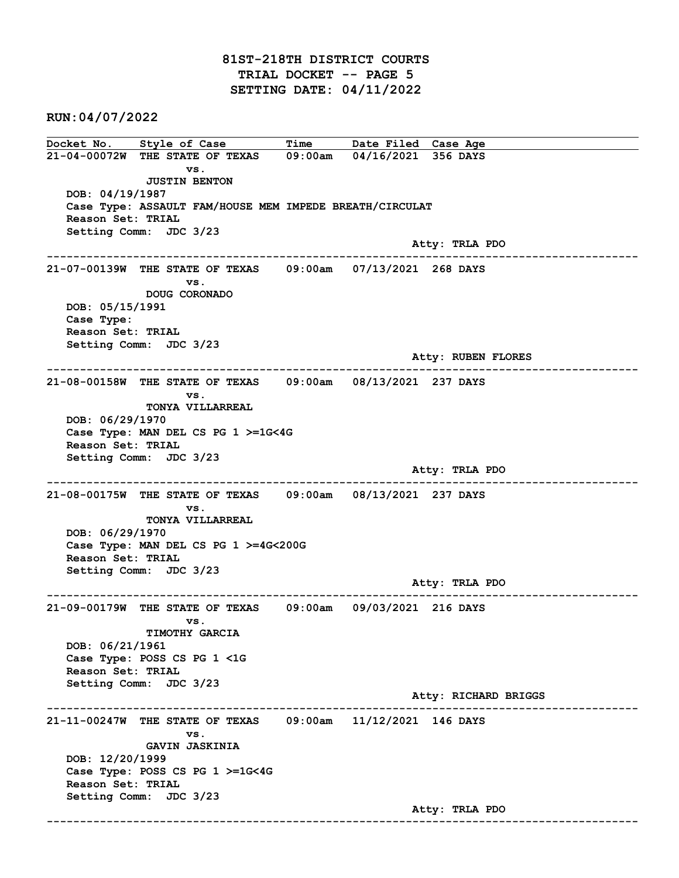RUN:04/07/2022

Docket No. Style of Case Time Date Filed Case Age 21-04-00072W THE STATE OF TEXAS 09:00am 04/16/2021 356 DAYS vs. JUSTIN BENTON DOB: 04/19/1987 Case Type: ASSAULT FAM/HOUSE MEM IMPEDE BREATH/CIRCULAT Reason Set: TRIAL Setting Comm: JDC 3/23 Atty: TRLA PDO ------------------------------------------------------------------------------------------------------------------------ 21-07-00139W THE STATE OF TEXAS 09:00am 07/13/2021 268 DAYS vs. DOUG CORONADO DOB: 05/15/1991 Case Type: Reason Set: TRIAL Setting Comm: JDC 3/23 Atty: RUBEN FLORES ------------------------------------------------------------------------------------------------------------------------ 21-08-00158W THE STATE OF TEXAS 09:00am 08/13/2021 237 DAYS vs. TONYA VILLARREAL DOB: 06/29/1970 Case Type: MAN DEL CS PG 1 >=1G<4G Reason Set: TRIAL Setting Comm: JDC 3/23 Atty: TRLA PDO ------------------------------------------------------------------------------------------------------------------------ 21-08-00175W THE STATE OF TEXAS 09:00am 08/13/2021 237 DAYS vs. TONYA VILLARREAL DOB: 06/29/1970 Case Type: MAN DEL CS PG 1 >=4G<200G Reason Set: TRIAL Setting Comm: JDC 3/23 Atty: TRLA PDO ------------------------------------------------------------------------------------------------------------------------ 21-09-00179W THE STATE OF TEXAS 09:00am 09/03/2021 216 DAYS vs. TIMOTHY GARCIA DOB: 06/21/1961 Case Type: POSS CS PG 1 <1G Reason Set: TRIAL Setting Comm: JDC 3/23 Atty: RICHARD BRIGGS ------------------------------------------------------------------------------------------------------------------------ 21-11-00247W THE STATE OF TEXAS 09:00am 11/12/2021 146 DAYS vs. GAVIN JASKINIA DOB: 12/20/1999 Case Type: POSS CS PG 1 >=1G<4G Reason Set: TRIAL Setting Comm: JDC 3/23 Atty: TRLA PDO ------------------------------------------------------------------------------------------------------------------------